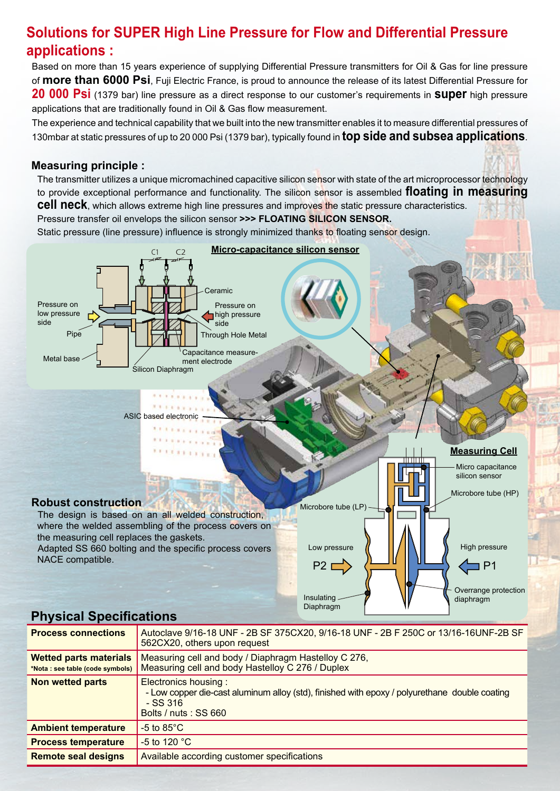# **Solutions for SUPER High Line Pressure for Flow and Differential Pressure applications :**

Based on more than 15 years experience of supplying Differential Pressure transmitters for Oil & Gas for line pressure of **more than 6000 Psi**, Fuji Electric France, is proud to announce the release of its latest Differential Pressure for **20 000 Psi** (1379 bar) line pressure as a direct response to our customer's requirements in **super** high pressure applications that are traditionally found in Oil & Gas flow measurement.

The experience and technical capability that we built into the new transmitter enables it to measure differential pressures of 130mbar at static pressures of up to 20 000 Psi (1379 bar), typically found in **top side and subsea applications**.

#### **Measuring principle :**

The transmitter utilizes a unique micromachined capacitive silicon sensor with state of the art microprocessor technology to provide exceptional performance and functionality. The silicon sensor is assembled **floating in measuring cell neck**, which allows extreme high line pressures and improves the static pressure characteristics. Pressure transfer oil envelops the silicon sensor **>>> FLOATING SILICON SENSOR.** Static pressure (line pressure) influence is strongly minimized thanks to floating sensor design.



## **Physical Specifications**

| <b>Process connections</b>                                        | Autoclave 9/16-18 UNF - 2B SF 375CX20, 9/16-18 UNF - 2B F 250C or 13/16-16UNF-2B SF<br>562CX20, others upon request                                         |  |  |  |
|-------------------------------------------------------------------|-------------------------------------------------------------------------------------------------------------------------------------------------------------|--|--|--|
| <b>Wetted parts materials</b><br>*Nota : see table (code symbols) | Measuring cell and body / Diaphragm Hastelloy C 276,<br>Measuring cell and body Hastelloy C 276 / Duplex                                                    |  |  |  |
| Non wetted parts                                                  | Electronics housing:<br>- Low copper die-cast aluminum alloy (std), finished with epoxy / polyurethane double coating<br>$-$ SS 316<br>Bolts / nuts: SS 660 |  |  |  |
| <b>Ambient temperature</b>                                        | $-5$ to $85^{\circ}$ C                                                                                                                                      |  |  |  |
| <b>Process temperature</b>                                        | $-5$ to 120 $^{\circ}$ C                                                                                                                                    |  |  |  |
| <b>Remote seal designs</b>                                        | Available according customer specifications                                                                                                                 |  |  |  |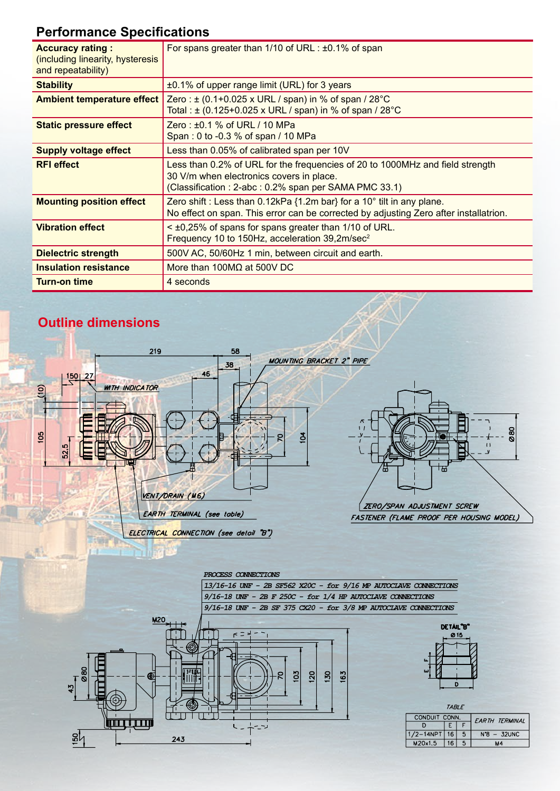# **Performance Specifications**

| <b>Accuracy rating:</b><br>(including linearity, hysteresis<br>and repeatability) | For spans greater than $1/10$ of URL : $\pm 0.1\%$ of span                                                                                                                        |  |  |  |
|-----------------------------------------------------------------------------------|-----------------------------------------------------------------------------------------------------------------------------------------------------------------------------------|--|--|--|
| <b>Stability</b>                                                                  | ±0.1% of upper range limit (URL) for 3 years                                                                                                                                      |  |  |  |
| <b>Ambient temperature effect</b>                                                 | Zero : $\pm$ (0.1+0.025 x URL / span) in % of span / 28 °C<br>Total: $\pm$ (0.125+0.025 x URL / span) in % of span / 28 °C                                                        |  |  |  |
| <b>Static pressure effect</b>                                                     | Zero: $\pm 0.1$ % of URL / 10 MPa<br>Span: 0 to -0.3 % of span / 10 MPa                                                                                                           |  |  |  |
| <b>Supply voltage effect</b>                                                      | Less than 0.05% of calibrated span per 10V                                                                                                                                        |  |  |  |
| <b>RFI effect</b>                                                                 | Less than 0.2% of URL for the frequencies of 20 to 1000MHz and field strength<br>30 V/m when electronics covers in place.<br>(Classification: 2-abc: 0.2% span per SAMA PMC 33.1) |  |  |  |
| <b>Mounting position effect</b>                                                   | Zero shift : Less than $0.12kPa$ {1.2m bar} for a 10 $^{\circ}$ tilt in any plane.<br>No effect on span. This error can be corrected by adjusting Zero after installatrion.       |  |  |  |
| <b>Vibration effect</b>                                                           | < ±0,25% of spans for spans greater than 1/10 of URL.<br>Frequency 10 to 150Hz, acceleration 39,2m/sec <sup>2</sup>                                                               |  |  |  |
| <b>Dielectric strength</b>                                                        | 500V AC, 50/60Hz 1 min, between circuit and earth.                                                                                                                                |  |  |  |
| <b>Insulation resistance</b>                                                      | More than 100M $\Omega$ at 500V DC                                                                                                                                                |  |  |  |
| <b>Turn-on time</b>                                                               | 4 seconds                                                                                                                                                                         |  |  |  |

## **Outline dimensions**

<del>mutrum</del>

 $243$ 

 $\frac{8}{10}$ 



 $\mathsf{L}$  –

- -.

| TARI F        |                 |                |               |  |  |
|---------------|-----------------|----------------|---------------|--|--|
| CONDUIT CONN. |                 | EARTH TERMINAL |               |  |  |
| D             |                 |                |               |  |  |
| 1/2-14NPT     | 16              | 5              | $N^8$ - 32UNC |  |  |
| M20x1.5       | 16 <sup>7</sup> |                | M4            |  |  |